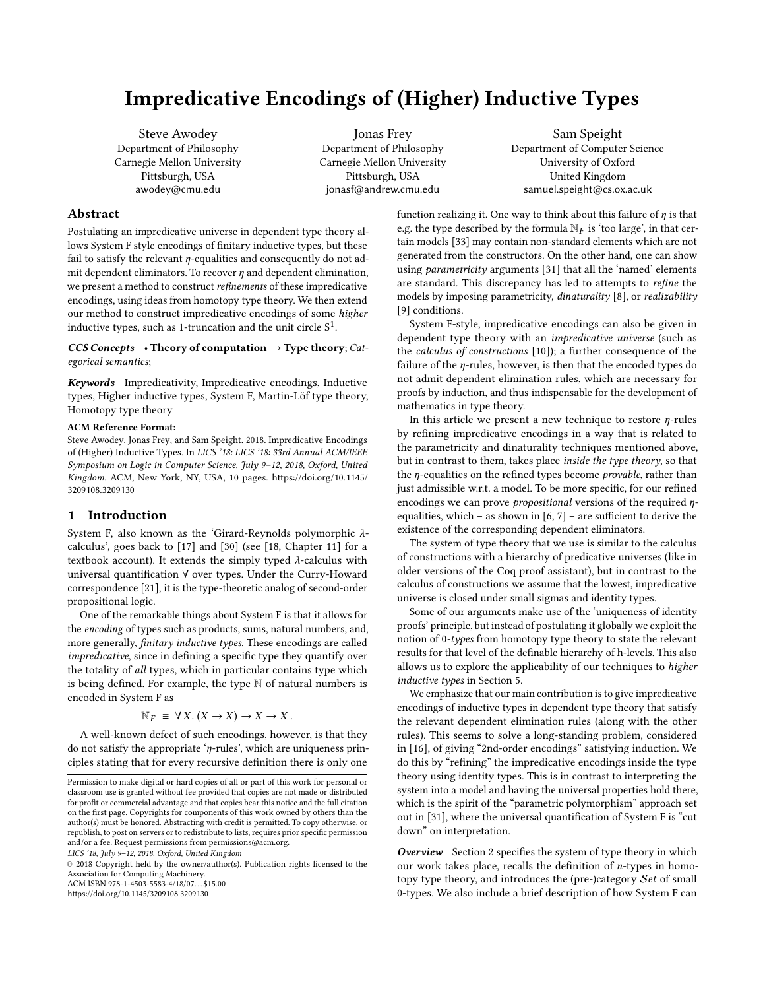# Impredicative Encodings of (Higher) Inductive Types

Steve Awodey Department of Philosophy Carnegie Mellon University Pittsburgh, USA awodey@cmu.edu

Jonas Frey Department of Philosophy Carnegie Mellon University Pittsburgh, USA jonasf@andrew.cmu.edu

Sam Speight Department of Computer Science University of Oxford United Kingdom samuel.speight@cs.ox.ac.uk

# Abstract

Postulating an impredicative universe in dependent type theory allows System F style encodings of finitary inductive types, but these fail to satisfy the relevant  $\eta$ -equalities and consequently do not admit dependent eliminators. To recover  $\eta$  and dependent elimination, we present a method to construct refinements of these impredicative encodings, using ideas from homotopy type theory. We then extend our method to construct impredicative encodings of some higher inductive types, such as 1-truncation and the unit circle  $S^1$ .

## $CCS$  Concepts • Theory of computation  $\rightarrow$  Type theory; Categorical semantics;

Keywords Impredicativity, Impredicative encodings, Inductive types, Higher inductive types, System F, Martin-Löf type theory, Homotopy type theory

### ACM Reference Format:

Steve Awodey, Jonas Frey, and Sam Speight. 2018. Impredicative Encodings of (Higher) Inductive Types. In LICS '18: LICS '18: 33rd Annual ACM/IEEE Symposium on Logic in Computer Science, July 9–12, 2018, Oxford, United Kingdom. ACM, New York, NY, USA, [10](#page-9-0) pages. [https://doi.org/10.1145/](https://doi.org/10.1145/3209108.3209130) [3209108.3209130](https://doi.org/10.1145/3209108.3209130)

# 1 Introduction

System F, also known as the 'Girard-Reynolds polymorphic λcalculus', goes back to [\[17\]](#page-9-1) and [\[30\]](#page-9-2) (see [\[18,](#page-9-3) Chapter 11] for a textbook account). It extends the simply typed  $\lambda$ -calculus with universal quantification ∀ over types. Under the Curry-Howard correspondence [\[21\]](#page-9-4), it is the type-theoretic analog of second-order propositional logic.

One of the remarkable things about System F is that it allows for the encoding of types such as products, sums, natural numbers, and, more generally, finitary inductive types. These encodings are called impredicative, since in defining a specific type they quantify over the totality of all types, which in particular contains type which is being defined. For example, the type N of natural numbers is encoded in System F as

$$
\mathbb{N}_F \equiv \forall X. (X \to X) \to X \to X.
$$

A well-known defect of such encodings, however, is that they do not satisfy the appropriate 'η-rules', which are uniqueness principles stating that for every recursive definition there is only one

© 2018 Copyright held by the owner/author(s). Publication rights licensed to the Association for Computing Machinery.

ACM ISBN 978-1-4503-5583-4/18/07...\$15.00

<https://doi.org/10.1145/3209108.3209130>

function realizing it. One way to think about this failure of  $\eta$  is that e.g. the type described by the formula  $\mathbb{N}_F$  is 'too large', in that certain models [\[33\]](#page-9-5) may contain non-standard elements which are not generated from the constructors. On the other hand, one can show using parametricity arguments [\[31\]](#page-9-6) that all the 'named' elements are standard. This discrepancy has led to attempts to refine the models by imposing parametricity, dinaturality [\[8\]](#page-9-7), or realizability [\[9\]](#page-9-8) conditions.

System F-style, impredicative encodings can also be given in dependent type theory with an impredicative universe (such as the calculus of constructions [\[10\]](#page-9-9)); a further consequence of the failure of the  $\eta$ -rules, however, is then that the encoded types do not admit dependent elimination rules, which are necessary for proofs by induction, and thus indispensable for the development of mathematics in type theory.

In this article we present a new technique to restore  $\eta$ -rules by refining impredicative encodings in a way that is related to the parametricity and dinaturality techniques mentioned above, but in contrast to them, takes place inside the type theory, so that the  $\eta$ -equalities on the refined types become *provable*, rather than just admissible w.r.t. a model. To be more specific, for our refined encodings we can prove propositional versions of the required ηequalities, which – as shown in  $[6, 7]$  $[6, 7]$  $[6, 7]$  – are sufficient to derive the existence of the corresponding dependent eliminators.

The system of type theory that we use is similar to the calculus of constructions with a hierarchy of predicative universes (like in older versions of the Coq proof assistant), but in contrast to the calculus of constructions we assume that the lowest, impredicative universe is closed under small sigmas and identity types.

Some of our arguments make use of the 'uniqueness of identity proofs' principle, but instead of postulating it globally we exploit the notion of 0-types from homotopy type theory to state the relevant results for that level of the definable hierarchy of h-levels. This also allows us to explore the applicability of our techniques to higher inductive types in Section [5.](#page-6-0)

We emphasize that our main contribution is to give impredicative encodings of inductive types in dependent type theory that satisfy the relevant dependent elimination rules (along with the other rules). This seems to solve a long-standing problem, considered in [\[16\]](#page-9-12), of giving "2nd-order encodings" satisfying induction. We do this by "refining" the impredicative encodings inside the type theory using identity types. This is in contrast to interpreting the system into a model and having the universal properties hold there, which is the spirit of the "parametric polymorphism" approach set out in [\[31\]](#page-9-6), where the universal quantification of System F is "cut down" on interpretation.

Overview Section [2](#page-1-0) specifies the system of type theory in which our work takes place, recalls the definition of n-types in homotopy type theory, and introduces the (pre-)category Set of small 0-types. We also include a brief description of how System F can

Permission to make digital or hard copies of all or part of this work for personal or classroom use is granted without fee provided that copies are not made or distributed for profit or commercial advantage and that copies bear this notice and the full citation on the first page. Copyrights for components of this work owned by others than the author(s) must be honored. Abstracting with credit is permitted. To copy otherwise, or republish, to post on servers or to redistribute to lists, requires prior specific permission and/or a fee. Request permissions from permissions@acm.org.

LICS '18, July 9–12, 2018, Oxford, United Kingdom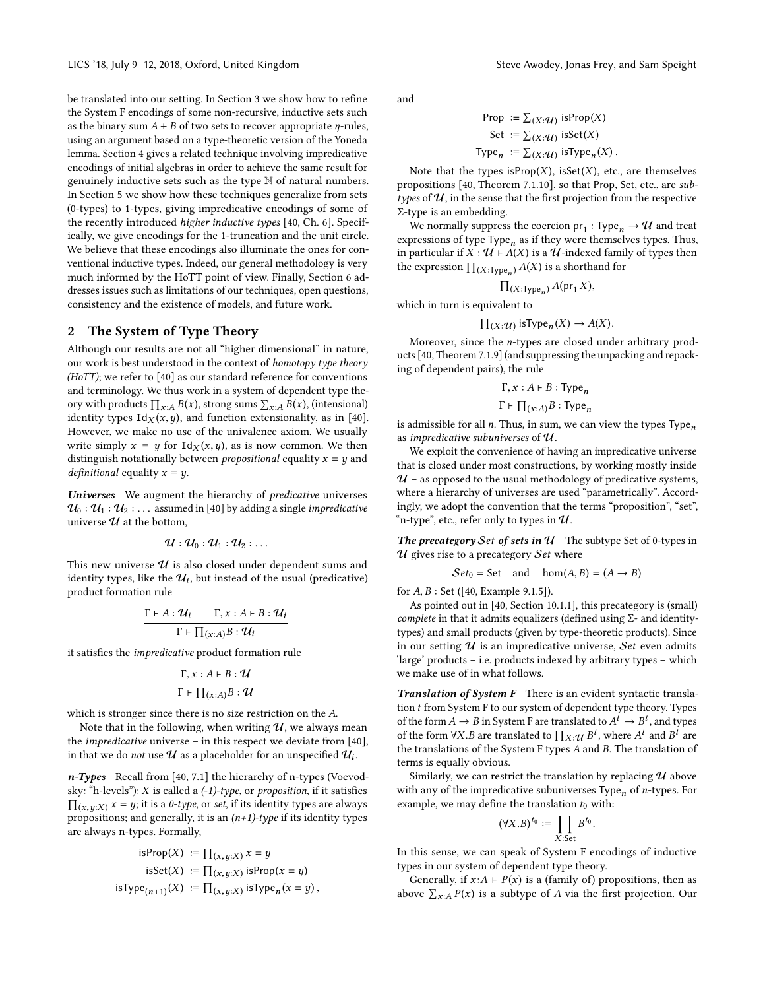be translated into our setting. In Section [3](#page-2-0) we show how to refine the System F encodings of some non-recursive, inductive sets such as the binary sum  $A + B$  of two sets to recover appropriate *η*-rules, using an argument based on a type-theoretic version of the Yoneda lemma. Section [4](#page-4-0) gives a related technique involving impredicative encodings of initial algebras in order to achieve the same result for genuinely inductive sets such as the type N of natural numbers. In Section [5](#page-6-0) we show how these techniques generalize from sets (0-types) to 1-types, giving impredicative encodings of some of the recently introduced higher inductive types [\[40,](#page-9-13) Ch. 6]. Specifically, we give encodings for the 1-truncation and the unit circle. We believe that these encodings also illuminate the ones for conventional inductive types. Indeed, our general methodology is very much informed by the HoTT point of view. Finally, Section [6](#page-8-0) addresses issues such as limitations of our techniques, open questions, consistency and the existence of models, and future work.

# <span id="page-1-0"></span>2 The System of Type Theory

Although our results are not all "higher dimensional" in nature, our work is best understood in the context of homotopy type theory (HoTT); we refer to [\[40\]](#page-9-13) as our standard reference for conventions and terminology. We thus work in a system of dependent type theory with products  $\prod_{x:A} B(x)$ , strong sums  $\sum_{x:A} B(x)$ , (intensional)<br>identity types  $Idy(x, y)$  and function extensionality as in [40] identity types  $Id_X(x, y)$ , and function extensionality, as in [\[40\]](#page-9-13). However, we make no use of the univalence axiom. We usually write simply  $x = y$  for  $Id_X(x, y)$ , as is now common. We then distinguish notationally between *propositional* equality  $x = y$  and *definitional* equality  $x \equiv y$ .

Universes We augment the hierarchy of predicative universes  $\mathcal{U}_0 : \mathcal{U}_1 : \mathcal{U}_2 : \ldots$  assumed in [\[40\]](#page-9-13) by adding a single *impredicative* universe  $U$  at the bottom,

$$
\mathcal{U}:\mathcal{U}_0:\mathcal{U}_1:\mathcal{U}_2:\ldots
$$

This new universe  $\mathcal U$  is also closed under dependent sums and identity types, like the  $\mathcal{U}_i$ , but instead of the usual (predicative)<br>product formation rule product formation rule

$$
\frac{\Gamma \vdash A : \mathcal{U}_i \qquad \Gamma, x : A \vdash B : \mathcal{U}_i}{\Gamma \vdash \prod_{(x : A)} B : \mathcal{U}_i}
$$

it satisfies the impredicative product formation rule

$$
\frac{\Gamma, x:A \vdash B: \mathcal{U}}{\Gamma \vdash \prod_{(x:A)} B: \mathcal{U}}
$$

which is stronger since there is no size restriction on the A.

Note that in the following, when writing  $U$ , we always mean the *impredicative* universe – in this respect we deviate from  $[40]$ , in that we do *not* use  $\mathcal U$  as a placeholder for an unspecified  $\mathcal U_i$ .

n-Types Recall from [\[40,](#page-9-13) 7.1] the hierarchy of n-types (Voevodsky: "h-levels"):  $X$  is called a  $(-1)$ -type, or proposition, if it satisfies  $\prod_{(x,y:X)} x = y$ ; it is a *0-type*, or set, if its identity types are always propositions; and generally, it is an  $(n+1)$ -type if its identity types are always n-types. Formally,

isProp(X) := 
$$
\prod_{(x,y:X)} x = y
$$
  
isSet(X) :=  $\prod_{(x,y:X)}$  isProp(x = y)  
isType<sub>(n+1)</sub>(X) :=  $\prod_{(x,y:X)}$  isType<sub>n</sub>(x = y),

and

Prop := 
$$
\sum_{(X:\mathcal{U})}
$$
 isProp(X)  
\nSet :=  $\sum_{(X:\mathcal{U})}$  isSet(X)  
\nType<sub>n</sub> :=  $\sum_{(X:\mathcal{U})}$  isType<sub>n</sub>(X).

 $Iype_n := \sum_{(X:U)} Isuppe_n(X)$ .<br>Note that the types isProp(X), isSet(X), etc., are themselves<br>nositions [40] Theorem 7.1.10] so that Prop. Set, etc., are subpropositions [\[40,](#page-9-13) Theorem 7.1.10], so that Prop, Set, etc., are subtypes of  $\mathcal{U}$ , in the sense that the first projection from the respective Σ-type is an embedding.

We normally suppress the coercion  $pr_1 : Type_n \to U$  and treat or essions of type. Thus expressions of type  $Type_n$  as if they were themselves types. Thus, in particular if  $X : \mathcal{U} \vdash A(X)$  is a  $\mathcal{U}$ -indexed family of types then<br>the expression  $\Pi_{X \vdash \mathcal{U}} = A(X)$  is a shorthand for the expression  $\prod_{(X:Type_n)} A(X)$  is a shorthand for

$$
\prod_{(X:\text{Type}_n)} A(\text{pr}_1 X),
$$

which in turn is equivalent to

$$
\prod_{(X:\mathcal{U})} \text{isType}_n(X) \to A(X).
$$

Moreover, since the n-types are closed under arbitrary products [\[40,](#page-9-13) Theorem 7.1.9] (and suppressing the unpacking and repacking of dependent pairs), the rule

$$
\frac{\Gamma, x : A \vdash B : \text{Type}_n}{\Gamma \vdash \prod_{(x:A)} B : \text{Type}_n}
$$

 $\Gamma \vdash \prod_{(x:A)} B : \text{Type}_n$ <br>is admissible for all *n*. Thus, in sum, we can view the types Type as impredicative subuniverses of  $\mathcal U$ .

We exploit the convenience of having an impredicative universe that is closed under most constructions, by working mostly inside  $U$  – as opposed to the usual methodology of predicative systems, where a hierarchy of universes are used "parametrically". Accordingly, we adopt the convention that the terms "proposition", "set", "n-type", etc., refer only to types in  $\mathcal U$ .

The precategory Set of sets in  $\mathcal U$  The subtype Set of 0-types in  $U$  gives rise to a precategory  $Set$  where

$$
Set_0 = Set \quad \text{and} \quad \text{hom}(A, B) = (A \rightarrow B)
$$

for <sup>A</sup>, <sup>B</sup> : Set ([\[40,](#page-9-13) Example 9.1.5]).

As pointed out in [\[40,](#page-9-13) Section 10.1.1], this precategory is (small) complete in that it admits equalizers (defined using  $\Sigma$ - and identitytypes) and small products (given by type-theoretic products). Since in our setting  $U$  is an impredicative universe, Set even admits 'large' products – i.e. products indexed by arbitrary types – which we make use of in what follows.

Translation of System F There is an evident syntactic translation  $t$  from System F to our system of dependent type theory. Types of the form  $A \to B$  in System F are translated to  $A^t \to B^t$ , and types of the form ∀X.B are translated to  $\prod_{X: \mathcal{U}} B^t$ , where  $A^t$  and  $B^t$  are the translations of the System E types A and B. The translation of the translations of the System F types A and B. The translation of terms is equally obvious.

Similarly, we can restrict the translation by replacing  $\mathcal U$  above with any of the impredicative subuniverses  $Type_n$  of n-types. For example, we may define the translation  $t_0$  with:

$$
(\forall X.B)^{t_0} \coloneqq \prod_{X:\mathsf{Set}} B^{t_0}.
$$

X:Set In this sense, we can speak of System F encodings of inductive types in our system of dependent type theory.

Generally, if  $x:A \vdash P(x)$  is a (family of) propositions, then as above  $\sum_{x:A} P(x)$  is a subtype of A via the first projection. Our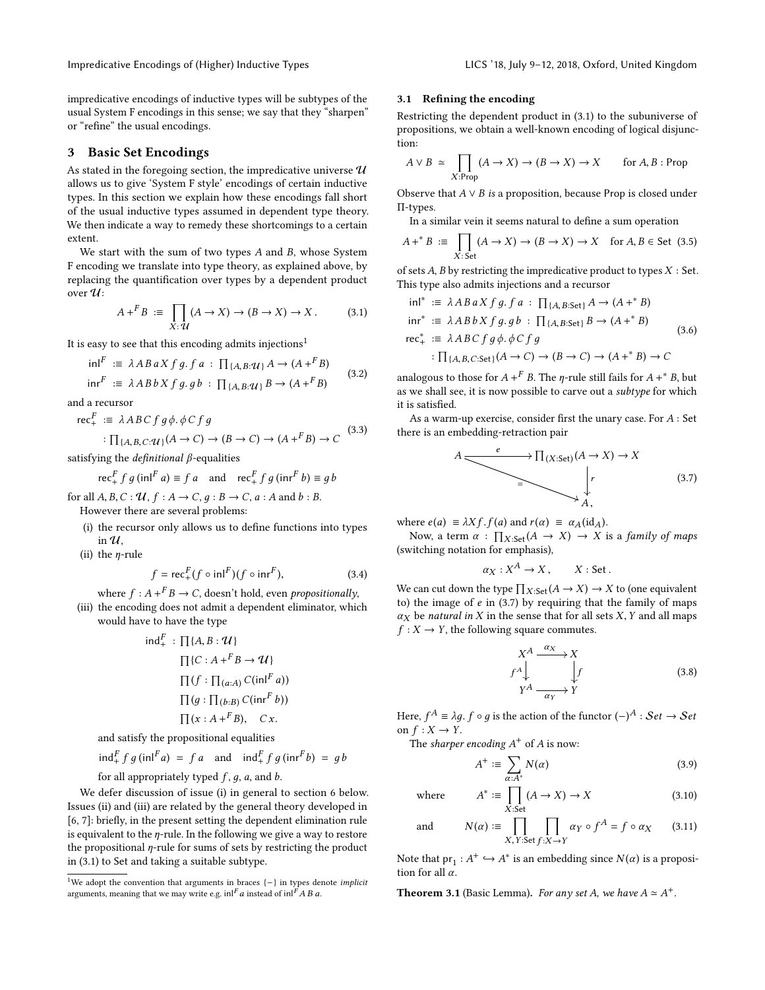Impredicative Encodings of (Higher) Inductive Types Lateration 2018, 18, July 9–12, 2018, Oxford, United Kingdom

impredicative encodings of inductive types will be subtypes of the usual System F encodings in this sense; we say that they "sharpen" or "refine" the usual encodings.

# <span id="page-2-0"></span>3 Basic Set Encodings

As stated in the foregoing section, the impredicative universe  $\mathcal U$ allows us to give 'System F style' encodings of certain inductive types. In this section we explain how these encodings fall short of the usual inductive types assumed in dependent type theory. We then indicate a way to remedy these shortcomings to a certain extent.

We start with the sum of two types A and B, whose System F encoding we translate into type theory, as explained above, by replacing the quantification over types by a dependent product over  $\mathcal{U}$ :

<span id="page-2-5"></span>
$$
A +^F B := \prod_{X: \mathcal{U}} (A \to X) \to (B \to X) \to X. \tag{3.1}
$$

It is easy to see that this encoding admits injections<sup>[1](#page-2-1)</sup>

<span id="page-2-9"></span>
$$
\text{inl}^{F} \coloneqq \lambda ABa X f g. fa : \prod_{\{A, B: \mathcal{U}\}} A \to (A + ^{F}B)
$$
\n
$$
\text{inr}^{F} \coloneqq \lambda A B b X f g. g b : \prod_{\{A, B: \mathcal{U}\}} B \to (A + ^{F}B)
$$
\n
$$
(3.2)
$$

and a recursor

<span id="page-2-10"></span>rec<sup>F</sup><sub>+</sub> := 
$$
\lambda ABC f g \phi \cdot \phi C f g
$$
  
:  $\Pi_{\{A, B, C: \mathcal{U}\}}(A \to C) \to (B \to C) \to (A + ^F B) \to C$  (3.3)

satisfying the *definitional*  $\beta$ -equalities

$$
\operatorname{rec}_{+}^{F} f g (\operatorname{in}^{F} a) \equiv f a \quad \text{and} \quad \operatorname{rec}_{+}^{F} f g (\operatorname{in}^{F} b) \equiv g b
$$

for all  $A, B, C : U, f : A \rightarrow C, g : B \rightarrow C, a : A$  and  $b : B$ . However there are several problems:

<span id="page-2-2"></span>(i) the recursor only allows us to define functions into types in  $U$ .

<span id="page-2-3"></span>(ii) the  $n$ -rule

$$
f = \operatorname{rec}_{+}^{F} (f \circ \operatorname{in} I^{F}) (f \circ \operatorname{in} r^{F}), \tag{3.4}
$$

<span id="page-2-4"></span>where  $f : A +^F B \to C$ , doesn't hold, even *propositionally*, (iii) the encoding does not admit a dependent eliminator, which would have to have the type

$$
\text{ind}_{+}^{F} : \prod\{A, B : \mathcal{U}\}\n \prod\{C : A + ^{F}B \to \mathcal{U}\}\n \prod\{f : \prod_{(a:A)} C(\text{in}^{F} a))\n \prod\{g : \prod_{(b:B)} C(\text{in}^{F} b)\}\n \prod(x : A + ^{F} B), \quad Cx.
$$

and satisfy the propositional equalities

$$
\operatorname{ind}_+^F f g(\operatorname{in} \mathbf{I}^F a) = f a \quad \text{and} \quad \operatorname{ind}_+^F f g(\operatorname{in} \mathbf{I}^F b) = g b
$$

for all appropriately typed  $f$ ,  $g$ ,  $a$ , and  $b$ .

We defer discussion of issue [\(i\)](#page-2-2) in general to section [6](#page-8-0) below. Issues [\(ii\)](#page-2-3) and [\(iii\)](#page-2-4) are related by the general theory developed in [\[6,](#page-9-10) [7\]](#page-9-11): briefly, in the present setting the dependent elimination rule is equivalent to the  $\eta$ -rule. In the following we give a way to restore the propositional  $\eta$ -rule for sums of sets by restricting the product in [\(3.1\)](#page-2-5) to Set and taking a suitable subtype.

#### 3.1 Refining the encoding

Restricting the dependent product in [\(3.1\)](#page-2-5) to the subuniverse of propositions, we obtain a well-known encoding of logical disjunction:

$$
A \lor B \simeq \prod_{X:\text{Prop}} (A \to X) \to (B \to X) \to X \quad \text{for } A, B:\text{Prop}
$$

Observe that  $A \vee B$  is a proposition, because Prop is closed under Π-types.

In a similar vein it seems natural to define a sum operation

<span id="page-2-8"></span>
$$
A +^* B := \prod_{X:\, \text{Set}} (A \to X) \to (B \to X) \to X \quad \text{for } A, B \in \text{Set} \text{ (3.5)}
$$

 $$X:$  Set  $$$  of sets  $A,B$  by restricting the impredicative product to types  $X:$  Set. This type also admits injections and a recursor

$$
\text{inl}^* \coloneqq \lambda ABa X f g. f a : \prod_{\{A, B: \text{Set}\}} A \to (A + ^* B)
$$
\n
$$
\text{inr}^* \coloneqq \lambda A B b X f g. g b : \prod_{\{A, B: \text{Set}\}} B \to (A + ^* B)
$$
\n
$$
\text{rec}^*_* \coloneqq \lambda ABC f g \phi. \phi C f g
$$
\n
$$
\vdots \prod_{\{A, B, C: \text{Set}\}} (A \to C) \to (B \to C) \to (A + ^* B) \to C
$$
\n(3.6)

analogous to those for  $A + F B$ . The  $\eta$ -rule still fails for  $A +^* B$ , but as we shall see, it is now possible to carve out a subtype for which it is satisfied.

As a warm-up exercise, consider first the unary case. For  $A$  : Set there is an embedding-retraction pair

<span id="page-2-6"></span>
$$
A \xrightarrow{e} \Pi(X \cdot Set) (A \to X) \to X
$$
\n
$$
\downarrow r
$$
\n(3.7)

where  $e(a) \equiv \lambda X f.f(a)$  and  $r(\alpha) \equiv \alpha_A(\text{id}_A)$ .

Now, a term  $\alpha : \prod_{X:\text{Set}} (A \to X) \to X$  is a *family of maps*<br>*itching notation for emphasis*) (switching notation for emphasis),

$$
\alpha_X: X^A \to X, \qquad X: Set.
$$

We can cut down the type  $\prod_{X:\text{Set}}(A \to X) \to X$  to (one equivalent to) the image of e in (3.7) by requiring that the family of mans to) the image of  $e$  in [\(3.7\)](#page-2-6) by requiring that the family of maps  $\alpha$ <sub>X</sub> be *natural in* X in the sense that for all sets X, Y and all maps  $f: X \to Y$ , the following square commutes.

<span id="page-2-12"></span><span id="page-2-7"></span>
$$
\begin{array}{ccc}\nX^A & \xrightarrow{\alpha_X} & X \\
f^A & & f \\
Y^A & \xrightarrow{\alpha_Y} & Y\n\end{array}
$$
\n(3.8)

Here,  $f^A \equiv \lambda g$ .  $f \circ g$  is the action of the functor  $(-)^A : Set \rightarrow Set$ on  $f: X \to Y$ .

The sharper encoding  $A^+$  of A is now:

$$
A^+ := \sum_{\alpha:A^*} N(\alpha) \tag{3.9}
$$

where 
$$
A^* := \prod_{X:\text{Set}} (A \to X) \to X \tag{3.10}
$$

and 
$$
N(\alpha) := \prod_{X, Y:Set} \prod_{f:X \to Y} \alpha_Y \circ f^A = f \circ \alpha_X
$$
 (3.11)

Note that  $pr_1: A^+ \hookrightarrow A^*$  is an embedding since  $N(\alpha)$  is a proposition for all  $\alpha$ tion for all  $\alpha$ .

<span id="page-2-11"></span>**Theorem 3.1** (Basic Lemma). For any set A, we have  $A \simeq A^+$ .

<span id="page-2-1"></span><sup>&</sup>lt;sup>1</sup>We adopt the convention that arguments in braces  $\{-\}$  in types denote *implicit* arguments, meaning that we may write e.g.  $\ln I^r a$  instead of  $\ln I^r A B a$ .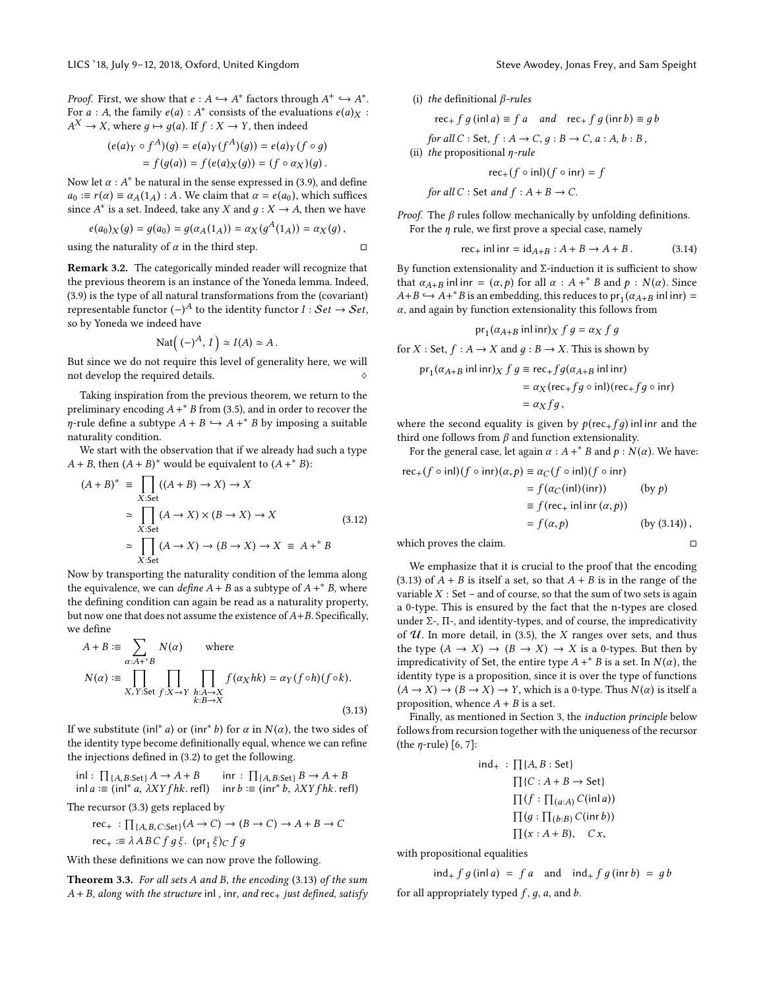*Proof.* First, we show that  $e : A \hookrightarrow A^*$  factors through  $A^+ \hookrightarrow A^*$ .<br>For  $e : A$  the family  $e(a) : A^*$  consists of the evaluations  $e(a) \vee e$ . For  $a : A$ , the family  $e(a) : A^*$  consists of the evaluations  $e(a)_X : A^* \to Y$  where  $a \mapsto a(a)$  if  $f : Y \to Y$  then indeed  $A^X \to X$ , where  $g \mapsto g(a)$ . If  $f : X \to Y$ , then indeed

$$
(e(a)_Y \circ f^A)(g) = e(a)_Y(f^A)(g)) = e(a)_Y(f \circ g)
$$
  
=  $f(g(a)) = f(e(a)_X(g)) = (f \circ a_X)(g)$ .

Now let  $\alpha$  :  $A^*$  be natural in the sense expressed in [\(3.9\)](#page-2-7), and define  $a_0 := r(\alpha) \equiv \alpha_A(1_A) : A$ . We claim that  $\alpha = e(a_0)$ , which suffices since  $A^*$  is a set. Indeed, take any X and  $g: X \to A$ , then we have

$$
e(a_0)_X(g) = g(a_0) = g(\alpha_A(1_A)) = \alpha_X(g^A(1_A)) = \alpha_X(g),
$$
  
using the naturality of  $\alpha$  in the third step.

Remark 3.2. The categorically minded reader will recognize that the previous theorem is an instance of the Yoneda lemma. Indeed, [\(3.9\)](#page-2-7) is the type of all natural transformations from the (covariant) representable functor  $(-)^A$  to the identity functor  $I : Set \rightarrow Set$ ,<br>so by Yoneda we indeed have so by Yoneda we indeed have

$$
\mathrm{Nat}((-)^A, I) \simeq I(A) \simeq A.
$$

But since we do not require this level of generality here, we will not develop the required details.

Taking inspiration from the previous theorem, we return to the preliminary encoding  $A +^* B$  from [\(3.5\)](#page-2-8), and in order to recover the  $\eta$ -rule define a subtype  $A + B \hookrightarrow A +^* B$  by imposing a suitable<br>naturality condition naturality condition.

We start with the observation that if we already had such a type  $A + B$ , then  $(A + B)^*$  would be equivalent to  $(A + B)^*$ :

$$
(A + B)^* \equiv \prod_{X:\text{Set}} ((A + B) \to X) \to X
$$
  
\n
$$
\simeq \prod_{X:\text{Set}} (A \to X) \times (B \to X) \to X
$$
  
\n
$$
\simeq \prod_{X:\text{Set}} (A \to X) \to (B \to X) \to X \equiv A +^* B
$$
  
\n(3.12)

X:Set Now by transporting the naturality condition of the lemma along the equivalence, we can define  $A + B$  as a subtype of  $A +^* B$ , where the defining condition can again be read as a naturality property, but now one that does not assume the existence of  $A+B$ . Specifically, we define

<span id="page-3-0"></span>
$$
A + B := \sum_{\alpha:A^{+^*}B} N(\alpha) \quad \text{where}
$$
  

$$
N(\alpha) := \prod_{X,Y:\text{Set } f:X \to Y} \prod_{h:A \to X} f(\alpha_X hk) = \alpha_Y(f \circ h)(f \circ k).
$$
  
(3.13)

If we substitute  $(\text{inl}^* a)$  or  $(\text{inr}^* b)$  for  $\alpha$  in  $N(\alpha)$ , the two sides of the identity type become definitionally equal whence we can refine the identity type become definitionally equal, whence we can refine the injections defined in [\(3.2\)](#page-2-9) to get the following.

$$
\text{inl}: \prod_{\{A, B: \text{Set}\}} A \to A + B \quad \text{inr}: \prod_{\{A, B: \text{Set}\}} B \to A + B
$$
\n
$$
\text{inl } a \coloneqq (\text{inl}^* a, \lambda XYfhk.\text{refl}) \quad \text{inr } b \coloneqq (\text{inr}^* b, \lambda XYfhk.\text{refl})
$$

The recursor [\(3.3\)](#page-2-10) gets replaced by

rec<sub>+</sub> : 
$$
\prod_{\{A,B,C:\text{Set}\}} (A \to C) \to (B \to C) \to A + B \to C
$$
  
rec<sub>+</sub> :=  $\lambda ABC f g \xi$ . (pr<sub>1</sub>  $\xi$ )<sub>C</sub>  $f g$ 

With these definitions we can now prove the following.

Theorem 3.3. For all sets A and B, the encoding [\(3.13\)](#page-3-0) of the sum  $A + B$ , along with the structure inl, inr, and rec<sub>+</sub> just defined, satisfy (i) the definitional  $\beta$ -rules

$$
\operatorname{rec}_{+} f g (\operatorname{in} a) \equiv f a \quad \text{and} \quad \operatorname{rec}_{+} f g (\operatorname{in} r b) \equiv g b
$$

for all  $C : Set, f : A \rightarrow C, g : B \rightarrow C, a : A, b : B$ ,

(ii) the propositional  $\eta$ -rule

$$
\mathsf{rec}_{+}(f \circ \mathsf{inl})(f \circ \mathsf{inr}) = f
$$

for all 
$$
C
$$
: Set and  $f : A + B \rightarrow C$ .

*Proof.* The  $\beta$  rules follow mechanically by unfolding definitions. For the  $\eta$  rule, we first prove a special case, namely

<span id="page-3-1"></span>
$$
\text{rec}_{+} \text{ inl inr} = \text{id}_{A+B} : A + B \to A + B. \tag{3.14}
$$

By function extensionality and  $\Sigma$ -induction it is sufficient to show that  $\alpha_{A+B}$  in linr =  $(\alpha, p)$  for all  $\alpha : A + B$  and  $p : N(\alpha)$ . Since  $A + B \hookrightarrow A + B$  is an embedding this reduces to pr  $(\alpha, p)$  in link  $A + B \hookrightarrow A + ^*B$  is an embedding, this reduces to pr<sub>1</sub>( $\alpha_{A+B}$  inl inr) =  $\alpha$  and again by function extensionality this follows from  $\alpha$ , and again by function extensionality this follows from

$$
\text{pr}_1(\alpha_{A+B} \text{ inl inr})_X f g = \alpha_X f g
$$

for  $X : Set, f : A \rightarrow X$  and  $g : B \rightarrow X$ . This is shown by

$$
pr_1(\alpha_{A+B} \text{ inl inr})_X f g \equiv \text{rec}_{+} f g(\alpha_{A+B} \text{ inl inr})
$$
  
=  $\alpha_X (\text{rec}_{+} f g \circ \text{ inl}) (\text{rec}_{+} f g \circ \text{ inr})$   
=  $\alpha_X f g$ ,

where the second equality is given by  $p(rec+f g)$  inl inr and the third one follows from  $\beta$  and function extensionality.

For the general case, let again  $\alpha : A +^* B$  and  $p : N(\alpha)$ . We have:

rec<sub>+</sub>(
$$
f \circ \text{inl}
$$
)( $f \circ \text{inr}$ )( $\alpha, p$ ) =  $\alpha_C(f \circ \text{inl})(f \circ \text{inr})$   
\n=  $f(\alpha_C(\text{inl})(\text{inr}))$  (by  $p$ )  
\n=  $f(\text{rec}_+$  inl inr( $\alpha, p$ ))  
\n=  $f(\alpha, p)$  (by (3.14)),

which proves the claim.  $\Box$ 

We emphasize that it is crucial to the proof that the encoding [\(3.13\)](#page-3-0) of  $A + B$  is itself a set, so that  $A + B$  is in the range of the variable  $X : Set$  – and of course, so that the sum of two sets is again a 0-type. This is ensured by the fact that the n-types are closed under  $\Sigma$ -,  $\Pi$ -, and identity-types, and of course, the impredicativity of  $U$ . In more detail, in [\(3.5\)](#page-2-8), the X ranges over sets, and thus the type  $(A \rightarrow X) \rightarrow (B \rightarrow X) \rightarrow X$  is a 0-types. But then by impredicativity of Set, the entire type  $A + B$  is a set. In  $N(\alpha)$ , the identity type is a proposition since it is over the type of functions identity type is a proposition, since it is over the type of functions  $(A \to X) \to (B \to X) \to Y$ , which is a 0-type. Thus  $N(\alpha)$  is itself a

Finally, as mentioned in Section [3,](#page-2-0) the induction principle below follows from recursion together with the uniqueness of the recursor (the  $\eta$ -rule) [\[6,](#page-9-10) [7\]](#page-9-11):

$$
\text{ind}_{+} : \prod\{A, B : \text{Set}\}\
$$

$$
\prod\{C : A + B \to \text{Set}\}\
$$

$$
\prod\{f : \prod_{(a:A)} C(\text{inl } a)\}\
$$

$$
\prod(g : \prod_{(b:B)} C(\text{inr } b))\]
$$

$$
\prod(x : A + B), \quad C x,
$$

with propositional equalities

proposition, whence  $A + B$  is a set.

$$
\text{ind}_{+} f g(\text{inl } a) = f a \quad \text{and} \quad \text{ind}_{+} f g(\text{inr } b) = g b
$$
\n
$$
\text{for all appropriately typed } f, g, a, \text{and } b.
$$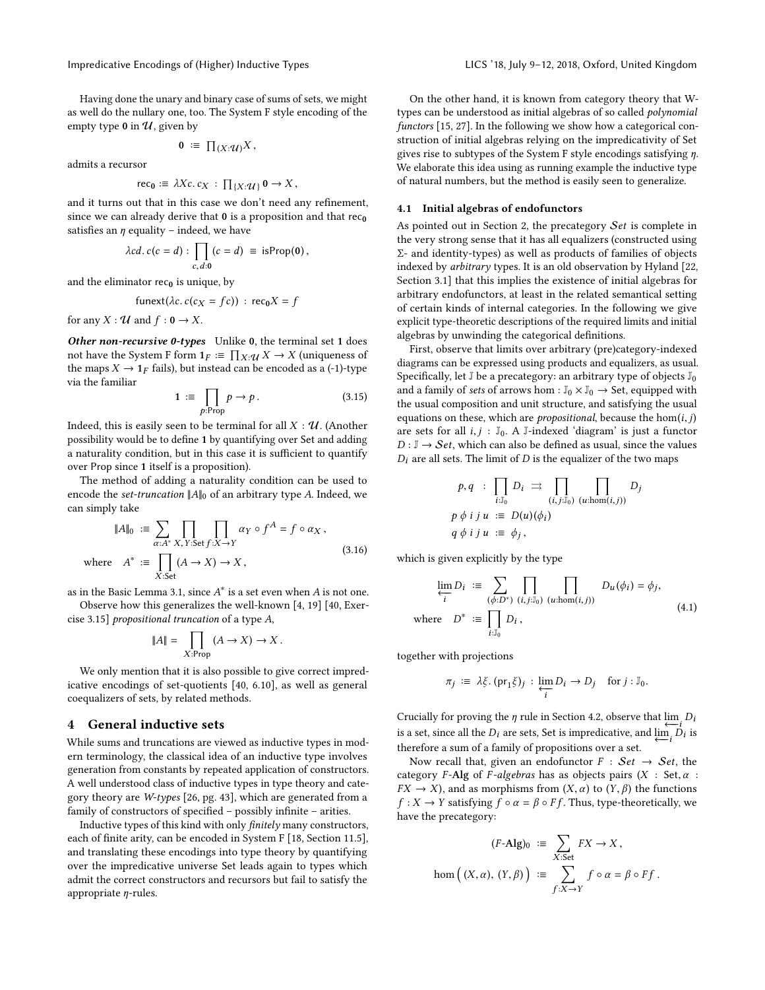Having done the unary and binary case of sums of sets, we might as well do the nullary one, too. The System F style encoding of the empty type 0 in  $U$ , given by

$$
0 \ \coloneqq \ \prod_{(X:\mathcal{U})} X \,,
$$

admits a recursor

$$
\operatorname{rec}_0 := \lambda Xc. c_X : \prod_{\{X : \mathcal{U}\}} 0 \to X,
$$

and it turns out that in this case we don't need any refinement, since we can already derive that  $0$  is a proposition and that  $rec<sub>0</sub>$ satisfies an  $\eta$  equality – indeed, we have

$$
\lambda c d. c (c = d) : \prod_{c, d: 0} (c = d) \equiv \text{isProp}(\mathbf{0}),
$$

and the eliminator  $rec_0$  is unique, by

$$
funext(\lambda c. c(c_X = fc)) : rec_0 X = f
$$

for any  $X : \mathcal{U}$  and  $f : \mathbf{0} \to X$ .

Other non-recursive 0-types Unlike 0, the terminal set 1 does not have the System F form  $1_F := \prod_{X} : \mathcal{U} \times \rightarrow X$  (uniqueness of the mans  $X \rightarrow 1_F$  fails) but instead can be encoded as a (-1)-type the maps  $X \rightarrow 1_F$  fails), but instead can be encoded as a (-1)-type via the familiar

<span id="page-4-2"></span>
$$
1 := \prod_{p:\text{Prop}} p \to p. \tag{3.15}
$$

p:Prop $p$  . Then the terminal for all  $X:\mathcal{U}.$  (Another possibility would be to define 1 by quantifying over Set and adding a naturality condition, but in this case it is sufficient to quantify over Prop since 1 itself is a proposition).

The method of adding a naturality condition can be used to encode the set-truncation  $||A||_0$  of an arbitrary type A. Indeed, we can simply take

<span id="page-4-3"></span>
$$
\|A\|_{0} := \sum_{\alpha:A^{*}} \prod_{X,Y:\text{Set }f:X\to Y} \alpha_{Y} \circ f^{A} = f \circ \alpha_{X},
$$
  
where  $A^{*} := \prod_{X:\text{Set}} (A \to X) \to X,$  (3.16)

 $X:$ Set<br>as in the Basic Lemma [3.1,](#page-2-11) since  $A^*$  is a set even when  $A$  is not one.

Observe how this generalizes the well-known [\[4,](#page-9-14) [19\]](#page-9-15) [\[40,](#page-9-13) Exercise 3.15] propositional truncation of a type A,

$$
||A|| = \prod_{X:\text{Prop}} (A \to X) \to X.
$$

We only mention that it is also possible to give correct impredicative encodings of set-quotients [\[40,](#page-9-13) 6.10], as well as general coequalizers of sets, by related methods.

## <span id="page-4-0"></span>4 General inductive sets

While sums and truncations are viewed as inductive types in modern terminology, the classical idea of an inductive type involves generation from constants by repeated application of constructors. A well understood class of inductive types in type theory and category theory are W-types [\[26,](#page-9-16) pg. 43], which are generated from a family of constructors of specified – possibly infinite – arities.

Inductive types of this kind with only finitely many constructors, each of finite arity, can be encoded in System F [\[18,](#page-9-3) Section 11.5], and translating these encodings into type theory by quantifying over the impredicative universe Set leads again to types which admit the correct constructors and recursors but fail to satisfy the appropriate  $\eta$ -rules.

On the other hand, it is known from category theory that Wtypes can be understood as initial algebras of so called polynomial functors [\[15,](#page-9-17) [27\]](#page-9-18). In the following we show how a categorical construction of initial algebras relying on the impredicativity of Set gives rise to subtypes of the System F style encodings satisfying η. We elaborate this idea using as running example the inductive type of natural numbers, but the method is easily seen to generalize.

## 4.1 Initial algebras of endofunctors

As pointed out in Section [2,](#page-1-0) the precategory Set is complete in the very strong sense that it has all equalizers (constructed using Σ- and identity-types) as well as products of families of objects indexed by arbitrary types. It is an old observation by Hyland [\[22,](#page-9-19) Section 3.1] that this implies the existence of initial algebras for arbitrary endofunctors, at least in the related semantical setting of certain kinds of internal categories. In the following we give explicit type-theoretic descriptions of the required limits and initial algebras by unwinding the categorical definitions.

First, observe that limits over arbitrary (pre)category-indexed diagrams can be expressed using products and equalizers, as usual. Specifically, let  $\mathbb J$  be a precategory: an arbitrary type of objects  $\mathbb J_0$ and a family of sets of arrows hom :  $\mathbb{J}_0 \times \mathbb{J}_0 \to$  Set, equipped with the usual composition and unit structure, and satisfying the usual equations on these, which are *propositional*, because the  $hom(i, j)$ are sets for all  $i, j : \mathbb{J}_0$ . A J-indexed 'diagram' is just a functor  $D : \mathbb{J} \to \mathcal{S}et$ , which can also be defined as usual, since the values  $D_i$  are all sets. The limit of  $D$  is the equalizer of the two maps

$$
p, q : \prod_{i:J_0} D_i \implies \prod_{(i,j:J_0)} \prod_{(u:\text{hom}(i,j))} D_j
$$
  
 
$$
p \phi \text{ if } u := D(u)(\phi_i)
$$
  
 
$$
q \phi \text{ if } u := \phi_j,
$$

which is given explicitly by the type

<span id="page-4-1"></span>
$$
\lim_{\substack{i \ i}} D_i := \sum_{(\phi:D^*)} \prod_{(i,j:\bar{J}_0)} \prod_{(u:\text{hom}(i,j))} D_u(\phi_i) = \phi_j,
$$
\n
$$
\text{where } D^* := \prod_{i:\bar{J}_0} D_i,
$$
\n(4.1)

together with projections

$$
\pi_j \, := \, \lambda \xi. \, (\mathrm{pr}_1 \xi)_j \, : \, \varprojlim_i D_i \to D_j \quad \text{for } j : \mathbb{J}_0.
$$

Crucially for proving the *η* rule in Section [4.2,](#page-5-0) observe that  $\lim_{t \to 0} D_t$ <br>is a set, since all the *D*<sub>i</sub> are sets. Set is impredicative, and  $\lim_{t \to 0} D_t$  is is a set, since all the  $D_i$  are sets, Set is impredicative, and  $\varprojlim_i D_i$  is therefore a sum of a family of propositions over a set. therefore a sum of a family of propositions over a set.

Now recall that, given an endofunctor  $F : Set \rightarrow Set$ , the category F-Alg of F-algebras has as objects pairs  $(X : Set, \alpha :$  $FX \rightarrow X$ ), and as morphisms from  $(X, \alpha)$  to  $(Y, \beta)$  the functions  $f: X \to Y$  satisfying  $f \circ \alpha = \beta \circ Ff$ . Thus, type-theoretically, we have the precategory:

$$
(F\text{-Alg})_0 := \sum_{X:\text{Set}} FX \to X,
$$
  
hom $\left((X,\alpha),(Y,\beta)\right) := \sum_{f:X\to Y} f\circ\alpha = \beta\circ Ff.$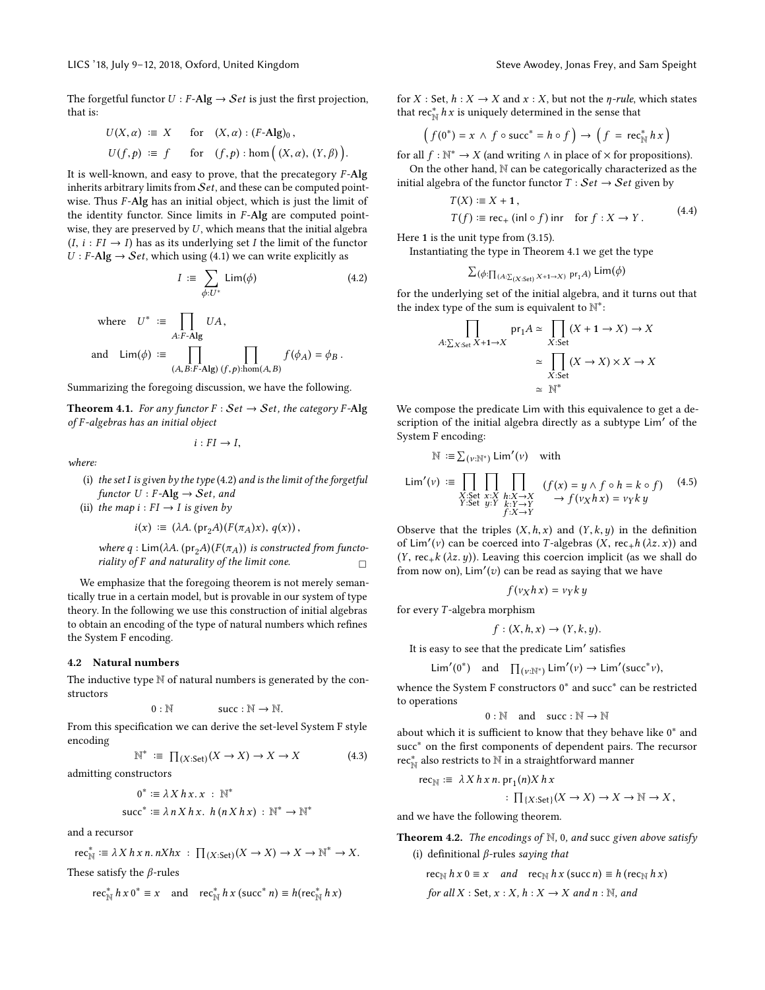The forgetful functor  $U : F$ -Alg  $\rightarrow$  Set is just the first projection, that is:

$$
U(X, \alpha) := X \quad \text{for} \quad (X, \alpha) : (F-\text{Alg})_0,
$$
  

$$
U(f, p) := f \quad \text{for} \quad (f, p) : \text{hom}((X, \alpha), (Y, \beta))
$$

It is well-known, and easy to prove, that the precategory  $F$ -Alg inherits arbitrary limits from  $Set$ , and these can be computed pointwise. Thus  $F$ -Alg has an initial object, which is just the limit of the identity functor. Since limits in  $F$ -Alg are computed pointwise, they are preserved by  $U$ , which means that the initial algebra  $(I, i : FI \rightarrow I)$  has as its underlying set I the limit of the functor  $U : F\text{-}Alg \to Set$ , which using [\(4.1\)](#page-4-1) we can write explicitly as

$$
I := \sum_{\phi:U^*} \mathsf{Lim}(\phi) \tag{4.2}
$$

where 
$$
U^* := \prod_{A:F\text{-Alg}} UA
$$
,  
and  $\text{Lim}(\phi) := \prod_{(A,B:F\text{-Alg})} \prod_{(f,p): \text{hom}(A,B)} f(\phi_A) = \phi_B$ .

Summarizing the foregoing discussion, we have the following.

<span id="page-5-2"></span>**Theorem 4.1.** For any functor  $F : Set \rightarrow Set$ , the category F-Alg of F -algebras has an initial object

$$
i:FI\to I,
$$

where:

- (i) the set I is given by the type  $(4.2)$  and is the limit of the forgetful functor  $U$  : F-Alg  $\rightarrow$  Set, and
- (ii) the map  $i : FI \rightarrow I$  is given by

$$
i(x) := (\lambda A. (\mathrm{pr}_2 A)(F(\pi_A)x), q(x)),
$$

where q : Lim( $\lambda A$ . (pr<sub>2</sub>A)( $F(\pi_A)$ ) is constructed from functoriality of F and naturality of the limit cone. riality of  $F$  and naturality of the limit cone.

We emphasize that the foregoing theorem is not merely semantically true in a certain model, but is provable in our system of type theory. In the following we use this construction of initial algebras to obtain an encoding of the type of natural numbers which refines the System F encoding.

## <span id="page-5-0"></span>4.2 Natural numbers

The inductive type  $\mathbb N$  of natural numbers is generated by the constructors

$$
0:\mathbb{N} \qquad \qquad \text{succ}:\mathbb{N}\to\mathbb{N}.
$$

 $0 : \mathbb{N} \longrightarrow \mathbb{N}.$  From this specification we can derive the set-level System F style encoding

<span id="page-5-4"></span>
$$
\mathbb{N}^* \ \coloneqq \ \prod_{(X:\mathsf{Set})} (X \to X) \to X \to X \tag{4.3}
$$

admitting constructors

$$
0^* := \lambda X h x. x : \mathbb{N}^*
$$
  
succ<sup>\*</sup> :=  $\lambda n X h x. h (n X h x) : \mathbb{N}^* \to \mathbb{N}^*$ 

and a recursor

$$
\operatorname{rec}_{\mathbb{N}}^* := \lambda X h x n. n X h x : \prod_{(X:\operatorname{Set})} (X \to X) \to X \to \mathbb{N}^* \to X.
$$

These satisfy the  $\beta$ -rules

$$
\operatorname{rec}_{\mathbb{N}}^* h x 0^* \equiv x \quad \text{and} \quad \operatorname{rec}_{\mathbb{N}}^* h x (\operatorname{succ}^* n) \equiv h(\operatorname{rec}_{\mathbb{N}}^* h x)
$$

for *X* : Set,  $h: X \rightarrow X$  and  $x: X$ , but not the *n*-rule, which states that rec<sub>N</sub><sup>h</sup> x is uniquely determined in the sense that

$$
(f(0^*) = x \land f \circ \text{succ}^* = h \circ f) \rightarrow (f = \text{rec}_{\mathbb{N}}^* hx)
$$

for all  $f : \mathbb{N}^* \to X$  (and writing  $\wedge$  in place of  $\times$  for propositions).

On the other hand, N can be categorically characterized as the initial algebra of the functor functor  $T : Set \rightarrow Set$  given by

$$
T(X) := X + 1,
$$
  
\n
$$
T(f) := \text{rec}_{+} (\text{inl} \circ f) \text{ inr} \quad \text{for } f : X \to Y.
$$
\n(4.4)

Here 1 is the unit type from [\(3.15\)](#page-4-2).

Instantiating the type in Theorem [4.1](#page-5-2) we get the type

$$
\Sigma(\phi:\Pi_{(A:\Sigma(X:\mathsf{Set})}X^{+1\to X)}\operatorname{pr}_1A)\operatorname{\mathsf{Lim}}(\phi)
$$

<span id="page-5-1"></span>for the underlying set of the initial algebra, and it turns out that the index type of the sum is equivalent to  $\mathbb{N}^*$ :

$$
\prod_{A:\sum_{X:\text{Set}} X + 1 \to X} \text{pr}_1 A \simeq \prod_{X:\text{Set}} (X + 1 \to X) \to X
$$

$$
\simeq \prod_{X:\text{Set}} (X \to X) \times X \to X
$$

$$
\simeq \mathbb{N}^*
$$

We compose the predicate Lim with this equivalence to get a description of the initial algebra directly as a subtype Lim′ of the System F encoding:

$$
\mathbb{N} := \sum_{(v:\mathbb{N}^*)} \mathsf{Lim}'(v) \quad \text{with}
$$
\n
$$
\mathsf{Lim}'(v) := \prod_{\substack{X:\mathsf{Set} \ x:X}} \prod_{\substack{x:X \to X \\ Y:\mathsf{Set} \ y:Y}} \prod_{\substack{k:X \to X \\ k:Y \to Y}} (f(x) = y \land f \circ h = k \circ f) \quad (4.5)
$$

Observe that the triples  $(X, h, x)$  and  $(Y, k, y)$  in the definition of Lim'(v) can be coerced into T-algebras  $(X, rec+h(\lambda z, x))$  and  $(Y, rec, k(\lambda z, y))$ . Leaving this coercion implicit (as we shall do (Y, rec<sub>+</sub>k ( $\lambda z$ , y)). Leaving this coercion implicit (as we shall do from now on),  $\lim'(v)$  can be read as saying that we have

<span id="page-5-3"></span>
$$
f(v_X h x) = v_Y k y
$$

for every T -algebra morphism

$$
f:(X,h,x)\to (Y,k,y).
$$

It is easy to see that the predicate Lim′ satisfies

$$
\operatorname{Lim}'(0^*) \quad \text{and} \quad \prod_{(\nu:\mathbb{N}^*)} \operatorname{Lim}'(\nu) \to \operatorname{Lim}'(\operatorname{succ}^*\nu),
$$

whence the System F constructors 0<sup>\*</sup> and succ<sup>\*</sup> can be restricted to operations

$$
0: \mathbb{N} \quad \text{and} \quad succ: \mathbb{N} \to \mathbb{N}
$$

about which it is sufficient to know that they behave like  $0^*$  and succ<sup>\*</sup> on the first components of dependent pairs. The recursor rec<sub>N</sub><sup>\*</sup> also restricts to N in a straightforward manner

$$
\operatorname{rec}_{\mathbb{N}} := \lambda X h x n. \operatorname{pr}_1(n) X h x
$$

$$
:\prod_{\{X:\mathsf{Set}\}}(X\to X)\to X\to\mathbb{N}\to X,
$$

and we have the following theorem.

**Theorem 4.2.** The encodings of  $\mathbb{N}$ , 0, and succ given above satisfy (i) definitional  $\beta$ -rules saying that

$$
rec_{\mathbb{N}} h x 0 \equiv x \quad and \quad rec_{\mathbb{N}} h x (succ n) \equiv h (rec_{\mathbb{N}} h x)
$$
  
for all X : Set, x : X, h : X \rightarrow X and n : \mathbb{N}, and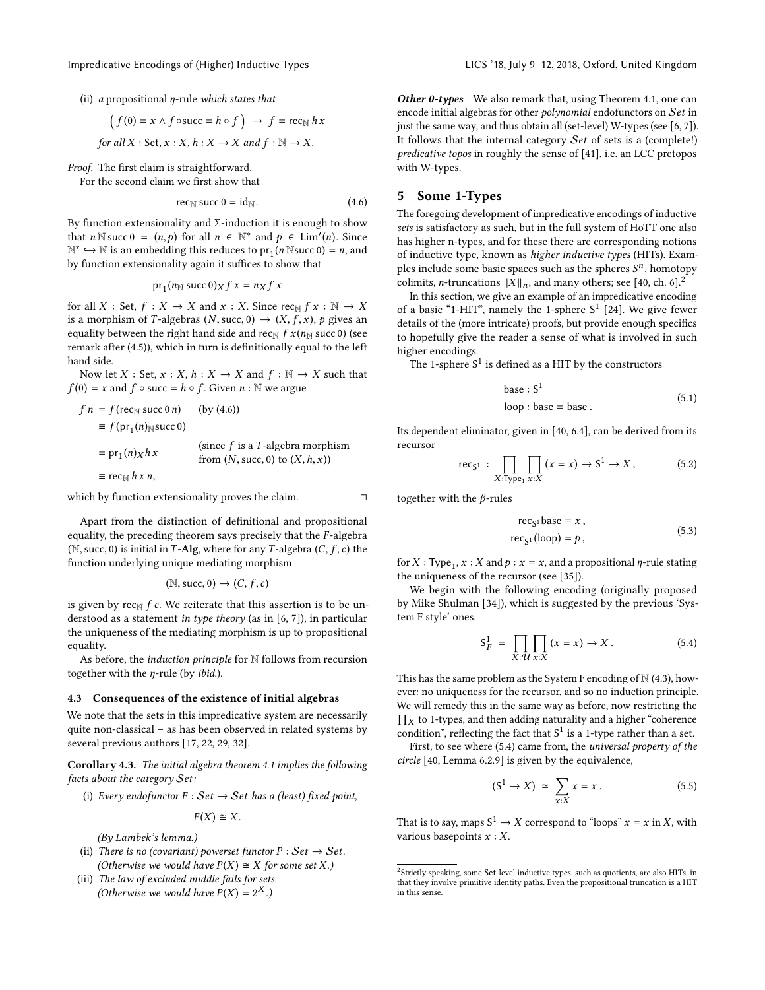(ii) a propositional  $\eta$ -rule which states that

$$
(f(0) = x \land f \circ \text{succ} = h \circ f) \rightarrow f = \text{rec}_{\mathbb{N}} hx
$$
  
for all X : Set, x : X, h : X \rightarrow X and f : \mathbb{N} \rightarrow X.

Proof. The first claim is straightforward.

For the second claim we first show that

<span id="page-6-1"></span>
$$
\text{rec}_{\mathbb{N}}\text{ succ }0=\text{id}_{\mathbb{N}}.\tag{4.6}
$$

By function extensionality and  $\Sigma$ -induction it is enough to show that  $n \in \mathbb{N}$  succ  $0 = (n, p)$  for all  $n \in \mathbb{N}^*$  and  $p \in \text{Lim}'(n)$ . Since  $\mathbb{N}^*$  →  $\mathbb{N}$  is an embedding this reduces to pr<sub>1</sub>(*n* Nsucc 0) = *n*, and the function extensionality again it suffices to show that by function extensionality again it suffices to show that

$$
pr_1(n_N \text{ succ } 0)_X f x = n_X f x
$$

for all X : Set,  $f : X \to X$  and  $x : X$ . Since rec<sub>N</sub>  $f x : \mathbb{N} \to X$ is a morphism of T-algebras  $(N,succ, 0) \rightarrow (X, f, x)$ , p gives an equality between the right hand side and rec<sub>N</sub>  $f x (n_N$  succ 0) (see remark after [\(4.5\)](#page-5-3)), which in turn is definitionally equal to the left hand side.

Now let  $X : Set, x : X, h : X \rightarrow X$  and  $f : \mathbb{N} \rightarrow X$  such that  $f(0) = x$  and  $f \circ$  succ =  $h \circ f$ . Given  $n : \mathbb{N}$  we argue

$$
fn = f(\text{rec}_{N} \text{ succ } 0 n) \qquad \text{(by (4.6))}
$$
\n
$$
\equiv f(\text{pr}_{1}(n)_{N} \text{ succ } 0)
$$
\n
$$
= \text{pr}_{1}(n)_{X} h_{X} \qquad \text{(since } f \text{ is a } T\text{-algebra morphism} \text{ from } (N, \text{succ}, 0) \text{ to } (X, h, x))
$$
\n
$$
\equiv \text{rec}_{N} h_{X} n,
$$

which by function extensionality proves the claim.  $\Box$ 

Apart from the distinction of definitional and propositional equality, the preceding theorem says precisely that the  $F$ -algebra ( $\mathbb N$ , succ, 0) is initial in T-Alg, where for any T-algebra ( $C, f, c$ ) the function underlying unique mediating morphism

$$
(\mathbb{N},\mathsf{succ},0)\to (C,f,c)
$$

is given by  $rec_{\mathbb{N}} f c$ . We reiterate that this assertion is to be understood as a statement in type theory (as in [\[6,](#page-9-10) [7\]](#page-9-11)), in particular the uniqueness of the mediating morphism is up to propositional equality.

As before, the *induction principle* for N follows from recursion together with the  $\eta$ -rule (by *ibid.*).

#### 4.3 Consequences of the existence of initial algebras

We note that the sets in this impredicative system are necessarily quite non-classical – as has been observed in related systems by several previous authors [\[17,](#page-9-1) [22,](#page-9-19) [29,](#page-9-20) [32\]](#page-9-21).

Corollary 4.3. The initial algebra theorem [4.1](#page-5-2) implies the following facts about the category Set:

(i) Every endofunctor  $F : Set \rightarrow Set$  has a (least) fixed point,

$$
F(X) \cong X.
$$

(By Lambek's lemma.)

- (ii) There is no (covariant) powerset functor  $P : Set \rightarrow Set$ . (Otherwise we would have  $P(X) \cong X$  for some set X.)
- (iii) The law of excluded middle fails for sets. (Otherwise we would have  $P(X) = 2^X$ .)

Other 0-types We also remark that, using Theorem [4.1,](#page-5-2) one can encode initial algebras for other *polynomial* endofunctors on Set in just the same way, and thus obtain all (set-level) W-types (see [\[6,](#page-9-10) [7\]](#page-9-11)). It follows that the internal category Set of sets is a (complete!) predicative topos in roughly the sense of [\[41\]](#page-9-22), i.e. an LCC pretopos with W-types.

# <span id="page-6-0"></span>5 Some 1-Types

The foregoing development of impredicative encodings of inductive sets is satisfactory as such, but in the full system of HoTT one also has higher n-types, and for these there are corresponding notions of inductive type, known as higher inductive types (HITs). Examples include some basic spaces such as the spheres  $\mathcal{S}^n$ , homotopy colimits, *n*-truncations  $||X||_n$ , and many others; see [\[40,](#page-9-13) ch. 6].<sup>[2](#page-6-2)</sup>

In this section, we give an example of an impredicative encoding of a basic "1-HIT", namely the 1-sphere  $S^1$  [\[24\]](#page-9-23). We give fewer details of the (more intricate) proofs, but provide enough specifics to hopefully give the reader a sense of what is involved in such higher encodings.

The 1-sphere  $S^1$  is defined as a HIT by the constructors

base : 
$$
S^1
$$
 (5.1)  
loop : base = base.

Its dependent eliminator, given in [\[40,](#page-9-13) 6.4], can be derived from its recursor

$$
\text{rec}_{S^1}: \prod_{X:\text{Type}_1} \prod_{x:X} (x = x) \to S^1 \to X, \tag{5.2}
$$

together with the β-rules

$$
\text{rec}_{S^1} \text{base} \equiv x, \n\text{rec}_{S^1}(\text{loop}) = p, \tag{5.3}
$$

for X : Type<sub>1</sub>,  $x : X$  and  $p : x = x$ , and a propositional  $\eta$ -rule stating the uniqueness of the recursor (see [\[35\]](#page-9-24)).

We begin with the following encoding (originally proposed by Mike Shulman [\[34\]](#page-9-25)), which is suggested by the previous 'System F style' ones.

<span id="page-6-3"></span>
$$
S_F^1 = \prod_{X:\mathcal{U}} \prod_{x:X} (x = x) \to X. \tag{5.4}
$$

This has the same problem as the System F encoding of  $\mathbb N$  [\(4.3\)](#page-5-4), however: no uniqueness for the recursor, and so no induction principle. We will remedy this in the same way as before, now restricting the  $\prod_X$  to 1-types, and then adding naturality and a higher "coherence<br>condition" reflecting the fact that  $S^1$  is a 1-type rather than a set condition", reflecting the fact that  $S^1$  is a 1-type rather than a set.

First, to see where [\(5.4\)](#page-6-3) came from, the universal property of the circle [\[40,](#page-9-13) Lemma 6.2.9] is given by the equivalence,

<span id="page-6-4"></span>
$$
(S^1 \to X) \simeq \sum_{x:X} x = x. \tag{5.5}
$$

That is to say, maps  $S^1 \to X$  correspond to "loops"  $x = x$  in X, with various basepoints  $x : X$ .

<span id="page-6-2"></span> ${}^{2}$ Strictly speaking, some Set-level inductive types, such as quotients, are also HITs, in that they involve primitive identity paths. Even the propositional truncation is a HIT in this sense.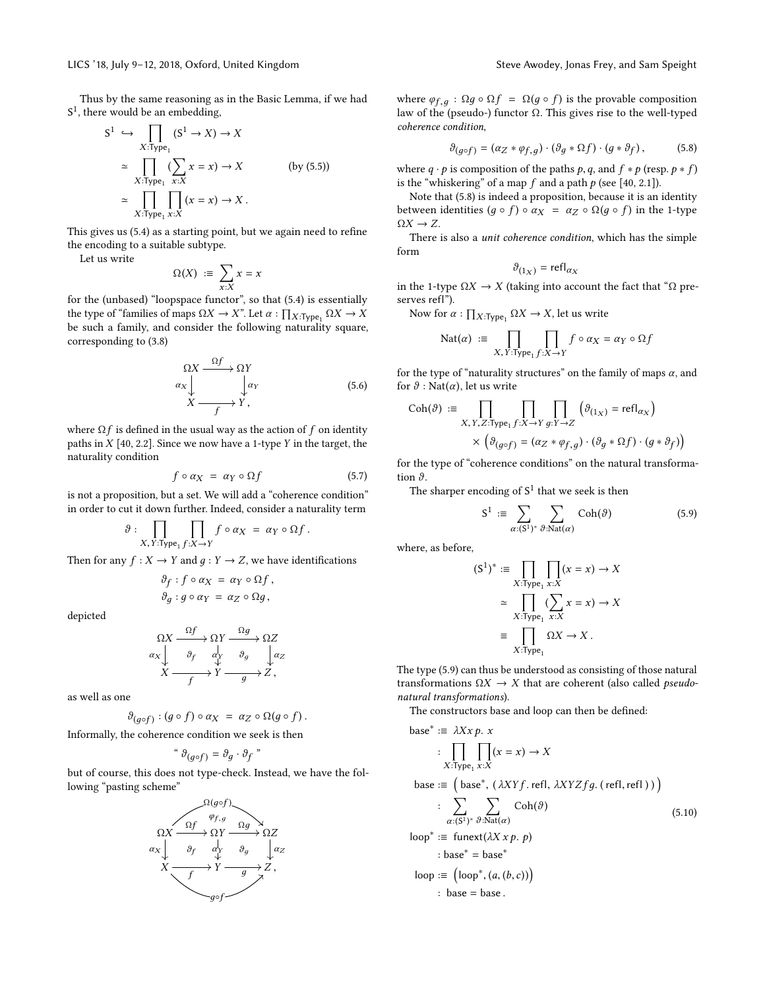Thus by the same reasoning as in the Basic Lemma, if we had S<sup>1</sup>, there would be an embedding,

$$
S^{1} \hookrightarrow \prod_{X:\text{Type}_{1}} (S^{1} \to X) \to X
$$
  
\n
$$
\simeq \prod_{X:\text{Type}_{1}} (\sum_{x:X} x = x) \to X \qquad \text{(by (5.5))}
$$
  
\n
$$
\simeq \prod_{X:\text{Type}_{1}} \prod_{x:X} (x = x) \to X.
$$

This gives us [\(5.4\)](#page-6-3) as a starting point, but we again need to refine the encoding to a suitable subtype.

Let us write

$$
\Omega(X) \ \coloneqq \ \sum_{x:X} x = x
$$

 $x:X$  for the (unbased) "loopspace functor", so that [\(5.4\)](#page-6-3) is essentially the type of "families of maps  $\Omega X \to X$ ". Let  $\alpha : \prod_{X : \text{Type}_1} \Omega X \to X$ <br>be such a family, and consider the following naturality square be such a family, and consider the following naturality square, corresponding to [\(3.8\)](#page-2-12)

$$
\begin{array}{ccc}\n\Omega X & \xrightarrow{\Omega f} & \Omega Y \\
\downarrow \alpha_X & \downarrow \alpha_Y & & \\
X & \xrightarrow{f} & Y,\n\end{array}
$$
\n(5.6)

where  $\Omega f$  is defined in the usual way as the action of f on identity paths in  $X$  [\[40,](#page-9-13) 2.2]. Since we now have a 1-type  $Y$  in the target, the naturality condition

$$
f \circ \alpha_X = \alpha_Y \circ \Omega f \tag{5.7}
$$

is not a proposition, but a set. We will add a "coherence condition" in order to cut it down further. Indeed, consider a naturality term

$$
\vartheta : \prod_{X,\,Y:\text{Type}_1 f:X\to Y} f\circ \alpha_X = \alpha_Y \circ \Omega f.
$$

Then for any  $f: X \to Y$  and  $q: Y \to Z$ , we have identifications

$$
\vartheta_f : f \circ \alpha_X = \alpha_Y \circ \Omega f,
$$
  

$$
\vartheta_g : g \circ \alpha_Y = \alpha_Z \circ \Omega g,
$$

depicted

$$
\begin{array}{ccc}\n\Omega X & \xrightarrow{\Omega f} & \Omega Y & \xrightarrow{\Omega g} & \Omega Z \\
\alpha_X & \xrightarrow{\partial} & \downarrow{\vee} & \vartheta_g & \downarrow{\alpha_Z} \\
X & \xrightarrow{f} & Y & \xrightarrow{g} & Z\n\end{array}
$$

as well as one

$$
\vartheta_{(g\circ f)}:(g\circ f)\circ \alpha_X\;=\;\alpha_Z\circ\Omega(g\circ f)\,.
$$

Informally, the coherence condition we seek is then

$$
\mathbf{G}_{(g \circ f)} = \partial_g \cdot \partial_f \mathbf{F}
$$

but of course, this does not type-check. Instead, we have the following "pasting scheme"



where  $\varphi_{f,q}$ :  $\Omega g \circ \Omega f = \Omega(g \circ f)$  is the provable composition law of the (pseudo-) functor Ω. This gives rise to the well-typed coherence condition,

<span id="page-7-0"></span>
$$
\vartheta_{(g \circ f)} = (\alpha_Z * \varphi_{f,g}) \cdot (\vartheta_g * \Omega f) \cdot (g * \vartheta_f), \tag{5.8}
$$

where  $q \cdot p$  is composition of the paths  $p, q$ , and  $f * p$  (resp.  $p * f$ ) is the "whiskering" of a map  $f$  and a path  $p$  (see [\[40,](#page-9-13) 2.1]).

Note that [\(5.8\)](#page-7-0) is indeed a proposition, because it is an identity between identities  $(g \circ f) \circ \alpha_X = \alpha_Z \circ \Omega(g \circ f)$  in the 1-type  $\Omega X \rightarrow Z$ .

There is also a unit coherence condition, which has the simple form

$$
\vartheta_{(1_X)} = \text{refl}_{\alpha_X}
$$

in the 1-type Ω*X* → *X* (taking into account the fact that "Ω pre-<br>serves ref!") serves refl").

Now for  $\alpha: \prod_{X: \text{Type}_1} \Omega X \to X$ , let us write

$$
\text{Nat}(\alpha) := \prod_{X, Y: \text{Type}_1 f: X \to Y} f \circ \alpha_X = \alpha_Y \circ \Omega f
$$

for the type of "naturality structures" on the family of maps  $\alpha$ , and for  $\vartheta$  : Nat( $\alpha$ ), let us write

$$
\text{Coh}(\vartheta) := \prod_{X,Y,Z:\text{Type}_1 f:X \to Y} \prod_{g:Y \to Z} \left( \vartheta_{(1_X)} = \text{refl}_{\alpha_X} \right)
$$

$$
\times \left( \vartheta_{(g \circ f)} = (\alpha_Z * \varphi_{f,g}) \cdot (\vartheta_g * \Omega f) \cdot (g * \vartheta_f) \right)
$$

for the type of "coherence conditions" on the natural transformation  $\vartheta$ .

The sharper encoding of  $S^1$  that we seek is then

<span id="page-7-1"></span>
$$
S^{1} := \sum_{\alpha: (S^{1})^{*}} \sum_{\vartheta: \mathrm{Nat}(\alpha)} \mathrm{Coh}(\vartheta)
$$
 (5.9)

where, as before,

$$
(S1)* := \prod_{X: Type_1 x:X} \prod_{x:X} (x = x) \to X
$$

$$
\simeq \prod_{X: Type_1 x:X} (\sum_{x:X} x = x) \to X
$$

$$
\equiv \prod_{X: Type_1} \Omega X \to X.
$$

The type [\(5.9\)](#page-7-1) can thus be understood as consisting of those natural transformations  $\Omega X \to X$  that are coherent (also called *pseudo*natural transformations).

The constructors base and loop can then be defined:

base\* := 
$$
\lambda Xx p. x
$$
  
\n
$$
\begin{aligned}\n&\vdots \prod_{X:\text{Type}_1 x:X} \prod(x = x) \to X \\
&\text{base} &\coloneqq (\text{base}^*, (\lambda XYf.\text{refl}, \lambda XYZfg. (\text{refl}, \text{refl}))) \\
&\coloneqq \sum_{\alpha:(S^1)^*} \sum_{\vartheta:\text{Nat}(\alpha)} \text{Coh}(\vartheta) \\
&\text{loop*} &\coloneqq \text{funext}(\lambda X x p. p) \\
&\therefore \text{base*} &\coloneqq \text{base*} \\
&\text{loop} &\coloneqq (\text{loop*}, (a, (b, c))) \\
&\therefore \text{base} &\coloneqq \text{base}. \n\end{aligned} \tag{5.10}
$$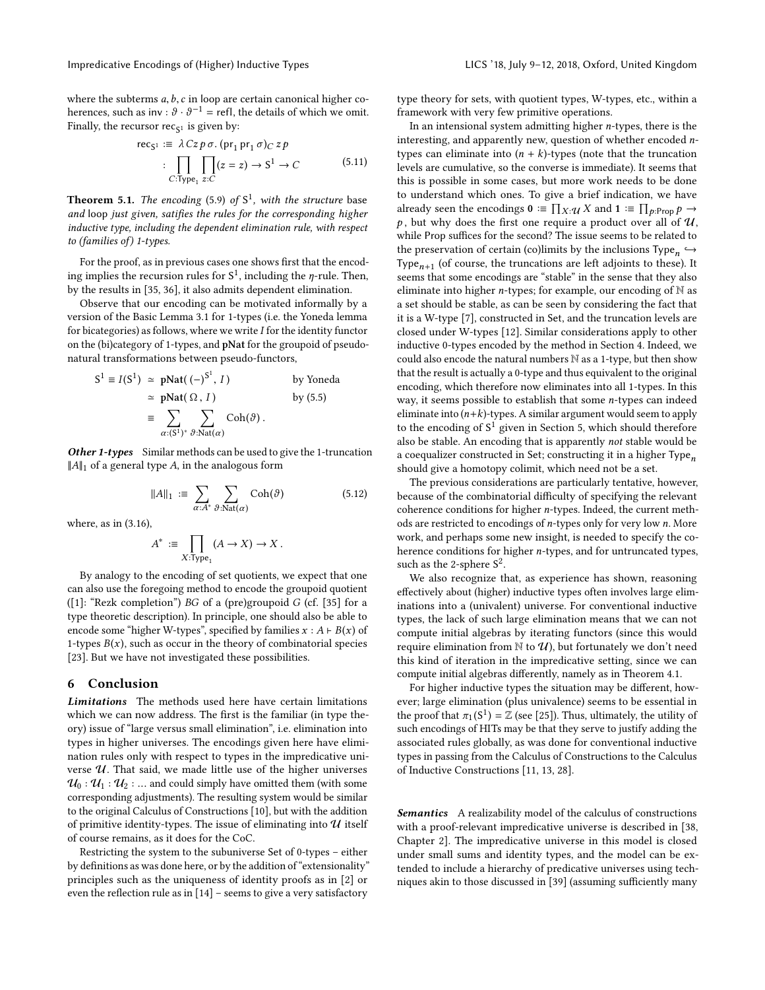where the subterms  $a, b, c$  in loop are certain canonical higher coherences, such as inv :  $\vartheta \cdot \vartheta^{-1}$  = refl, the details of which we omit. Finally, the recursor  $rec_{S^1}$  is given by:

$$
\text{rec}_{S^1} := \lambda \, Cz \, p \, \sigma. \, (\text{pr}_1 \, \text{pr}_1 \, \sigma)_C \, z \, p
$$
\n
$$
\vdots \prod_{C: \text{Type}_1 \, z: C} [z = z] \to S^1 \to C \tag{5.11}
$$

**Theorem 5.1.** The encoding [\(5.9\)](#page-7-1) of  $S^1$ , with the structure base and loop just given, satifies the rules for the corresponding higher inductive type, including the dependent elimination rule, with respect to (families of) 1-types.

For the proof, as in previous cases one shows first that the encoding implies the recursion rules for  $S^1$ , including the  $\eta$ -rule. Then, by the results in [\[35,](#page-9-24) [36\]](#page-9-26), it also admits dependent elimination.

Observe that our encoding can be motivated informally by a version of the Basic Lemma [3.1](#page-2-11) for 1-types (i.e. the Yoneda lemma for bicategories) as follows, where we write  $I$  for the identity functor on the (bi)category of 1-types, and pNat for the groupoid of pseudonatural transformations between pseudo-functors,

$$
S^{1} \equiv I(S^{1}) \simeq pNat((-)^{S^{1}}, I) \qquad \text{by Yoneda}
$$
  
\n
$$
\simeq pNat(\Omega, I) \qquad \text{by (5.5)}
$$
  
\n
$$
\equiv \sum_{\alpha:(S^{1})^{*}} \sum_{\vartheta:Mat(\alpha)} \text{Coh}(\vartheta).
$$

**Other 1-types** Similar methods can be used to give the 1-truncation  $||A||_1$  of a general type A, in the analogous form

$$
||A||_1 := \sum_{\alpha:A^*} \sum_{\vartheta:\text{Nat}(\alpha)} \text{Coh}(\vartheta) \tag{5.12}
$$

where, as in [\(3.16\)](#page-4-3),

 $\mathbf{1}$ 

$$
A^* := \prod_{X: \text{Type}_1} (A \to X) \to X.
$$

By analogy to the encoding of set quotients, we expect that one can also use the foregoing method to encode the groupoid quotient ([\[1\]](#page-9-27): "Rezk completion") BG of a (pre)groupoid G (cf. [\[35\]](#page-9-24) for a type theoretic description). In principle, one should also be able to encode some "higher W-types", specified by families  $x : A \vdash B(x)$  of 1-types  $B(x)$ , such as occur in the theory of combinatorial species [\[23\]](#page-9-28). But we have not investigated these possibilities.

## <span id="page-8-0"></span>6 Conclusion

Limitations The methods used here have certain limitations which we can now address. The first is the familiar (in type theory) issue of "large versus small elimination", i.e. elimination into types in higher universes. The encodings given here have elimination rules only with respect to types in the impredicative universe  $U$ . That said, we made little use of the higher universes  $\mathcal{U}_0$  :  $\mathcal{U}_1$  :  $\mathcal{U}_2$  : ... and could simply have omitted them (with some corresponding adjustments). The resulting system would be similar to the original Calculus of Constructions [\[10\]](#page-9-9), but with the addition of primitive identity-types. The issue of eliminating into  $U$  itself of course remains, as it does for the CoC.

Restricting the system to the subuniverse Set of 0-types – either by definitions as was done here, or by the addition of "extensionality" principles such as the uniqueness of identity proofs as in [\[2\]](#page-9-29) or even the reflection rule as in [\[14\]](#page-9-30) – seems to give a very satisfactory

type theory for sets, with quotient types, W-types, etc., within a framework with very few primitive operations.

In an intensional system admitting higher  $n$ -types, there is the interesting, and apparently new, question of whether encoded ntypes can eliminate into  $(n + k)$ -types (note that the truncation levels are cumulative, so the converse is immediate). It seems that this is possible in some cases, but more work needs to be done to understand which ones. To give a brief indication, we have already seen the encodings  $\mathbf{0} \coloneqq \prod_{X:} \mathcal{U}X$  and  $\mathbf{1} \coloneqq \prod_{p: \text{Prop}} p \rightarrow$  $p$ , but why does the first one require a product over all of  $u$ , while Prop suffices for the second? The issue seems to be related to the preservation of certain (co)limits by the inclusions Type $_n \hookrightarrow$ <br>Type (of course the truncations are left adjoints to these) It Type $_{n+1}$  (of course, the truncations are left adjoints to these). It  $Type_{n+1}$  (or course, the truncations are ferroading to these). It seems that some encodings are "stable" in the sense that they also eliminate into higher *n*-types; for example, our encoding of  $\mathbb N$  as a set should be stable, as can be seen by considering the fact that it is a W-type [\[7\]](#page-9-11), constructed in Set, and the truncation levels are closed under W-types [\[12\]](#page-9-31). Similar considerations apply to other inductive 0-types encoded by the method in Section [4.](#page-4-0) Indeed, we could also encode the natural numbers N as a 1-type, but then show that the result is actually a 0-type and thus equivalent to the original encoding, which therefore now eliminates into all 1-types. In this way, it seems possible to establish that some n-types can indeed eliminate into  $(n+k)$ -types. A similar argument would seem to apply to the encoding of  $S^1$  given in Section [5,](#page-6-0) which should therefore also be stable. An encoding that is apparently not stable would be a coequalizer constructed in Set; constructing it in a higher Type<sub>n</sub> should give a homotopy colimit, which need not be a set.

The previous considerations are particularly tentative, however, because of the combinatorial difficulty of specifying the relevant coherence conditions for higher n-types. Indeed, the current methods are restricted to encodings of n-types only for very low n. More work, and perhaps some new insight, is needed to specify the coherence conditions for higher n-types, and for untruncated types, such as the 2-sphere  $S^2$ .

We also recognize that, as experience has shown, reasoning effectively about (higher) inductive types often involves large eliminations into a (univalent) universe. For conventional inductive types, the lack of such large elimination means that we can not compute initial algebras by iterating functors (since this would require elimination from  $\mathbb N$  to  $\mathcal U$ ), but fortunately we don't need this kind of iteration in the impredicative setting, since we can compute initial algebras differently, namely as in Theorem [4.1.](#page-5-2)

For higher inductive types the situation may be different, however; large elimination (plus univalence) seems to be essential in the proof that  $\pi_1(S^1) = \mathbb{Z}$  (see [\[25\]](#page-9-32)). Thus, ultimately, the utility of such encodings of HITs may be that they serve to justify adding the such encodings of HITs may be that they serve to justify adding the associated rules globally, as was done for conventional inductive types in passing from the Calculus of Constructions to the Calculus of Inductive Constructions [\[11,](#page-9-33) [13,](#page-9-34) [28\]](#page-9-35).

Semantics A realizability model of the calculus of constructions with a proof-relevant impredicative universe is described in [\[38,](#page-9-36) Chapter 2]. The impredicative universe in this model is closed under small sums and identity types, and the model can be extended to include a hierarchy of predicative universes using techniques akin to those discussed in [\[39\]](#page-9-37) (assuming sufficiently many